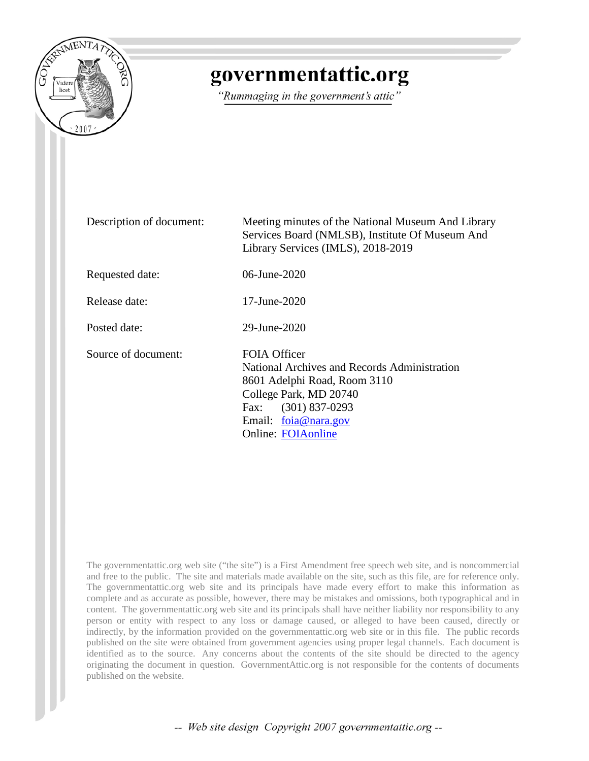

# governmentattic.org

"Rummaging in the government's attic"

Description of document: Meeting minutes of the National Museum And Library Services Board (NMLSB), Institute Of Museum And Library Services (IMLS), 2018-2019 Requested date: 06-June-2020 Release date: 17-June-2020 Posted date: 29-June-2020 Source of document: FOIA Officer National Archives and Records Administration 8601 Adelphi Road, Room 3110 College Park, MD 20740 Fax: (301) 837-0293 Email: [foia@nara.gov](mailto:foia@nara.gov?subject=FOIA%20Request) Online: [FOIAonline](https://www.foiaonline.gov/foiaonline/action/public/home)

The governmentattic.org web site ("the site") is a First Amendment free speech web site, and is noncommercial and free to the public. The site and materials made available on the site, such as this file, are for reference only. The governmentattic.org web site and its principals have made every effort to make this information as complete and as accurate as possible, however, there may be mistakes and omissions, both typographical and in content. The governmentattic.org web site and its principals shall have neither liability nor responsibility to any person or entity with respect to any loss or damage caused, or alleged to have been caused, directly or indirectly, by the information provided on the governmentattic.org web site or in this file. The public records published on the site were obtained from government agencies using proper legal channels. Each document is identified as to the source. Any concerns about the contents of the site should be directed to the agency originating the document in question. GovernmentAttic.org is not responsible for the contents of documents published on the website.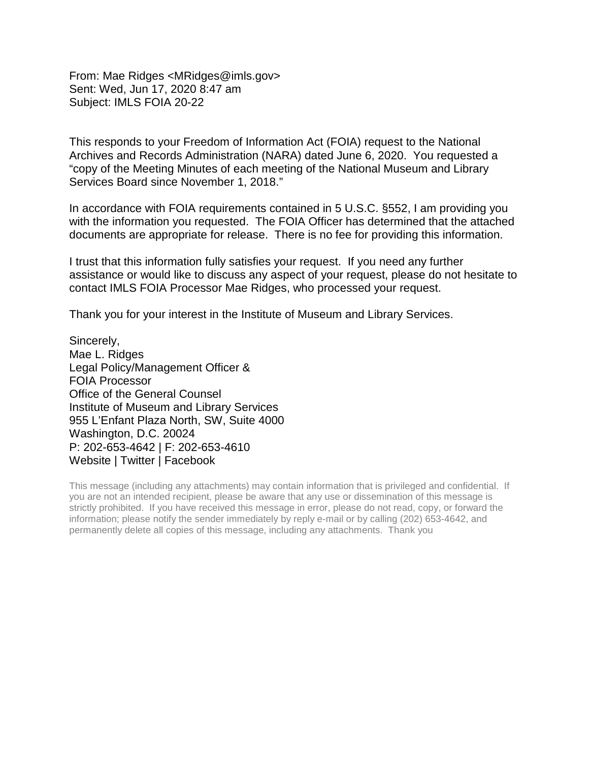From: Mae Ridges <MRidges@imls.gov> Sent: Wed, Jun 17, 2020 8:47 am Subject: IMLS FOIA 20-22

This responds to your Freedom of Information Act (FOIA) request to the National Archives and Records Administration (NARA) dated June 6, 2020. You requested a "copy of the Meeting Minutes of each meeting of the National Museum and Library Services Board since November 1, 2018."

In accordance with FOIA requirements contained in 5 U.S.C. §552, I am providing you with the information you requested. The FOIA Officer has determined that the attached documents are appropriate for release. There is no fee for providing this information.

I trust that this information fully satisfies your request. If you need any further assistance or would like to discuss any aspect of your request, please do not hesitate to contact IMLS FOIA Processor Mae Ridges, who processed your request.

Thank you for your interest in the Institute of Museum and Library Services.

Sincerely, Mae L. Ridges Legal Policy/Management Officer & FOIA Processor Office of the General Counsel Institute of Museum and Library Services 955 L'Enfant Plaza North, SW, Suite 4000 Washington, D.C. 20024 P: 202-653-4642 | F: 202-653-4610 Website | Twitter | Facebook

This message (including any attachments) may contain information that is privileged and confidential. If you are not an intended recipient, please be aware that any use or dissemination of this message is strictly prohibited. If you have received this message in error, please do not read, copy, or forward the information; please notify the sender immediately by reply e-mail or by calling (202) 653-4642, and permanently delete all copies of this message, including any attachments. Thank you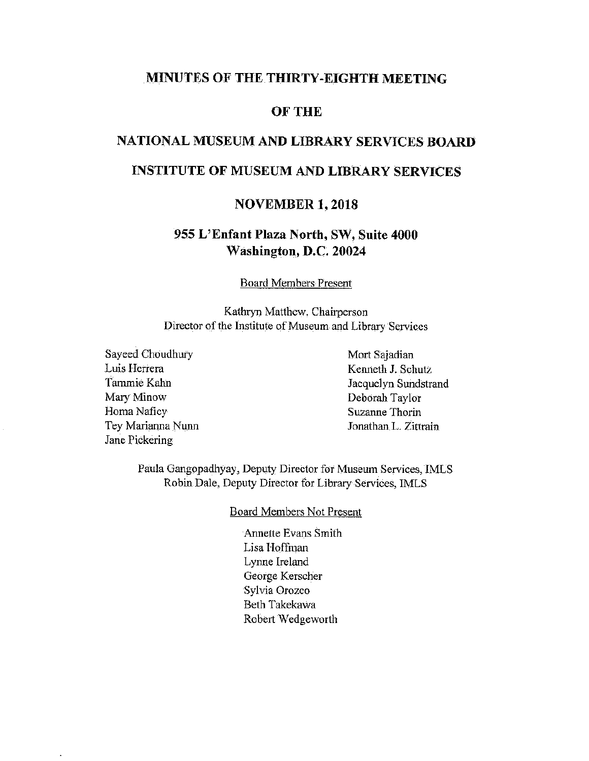#### **MINUTES OF THE THIRTY-EIGHTH MEETING**

#### **OFTHE**

# **NATIONAL MUSEUM AND LIBRARY SERVICES BOARD**

# **INSTITUTE OF MUSEUM AND LIBRARY SERVICES**

#### **NOVEMBER 1, 2018**

#### **955 L'Enfant Plaza North, SW, Suite 4000 Washington, D.C. 20024**

Board Members Present

Kathryn Matthew, Chairperson Director of the Institute of Museum and Library Services

Sayeed Choudhury Luis Herrera Tammie Kahn Mary Minow Homa Naficy Tey Marianna Nunn Jane Pickering

 $\ddot{\phantom{a}}$ 

Mort Sajadian Kenneth J. Schutz Jacquelyn Sundstrand Deborah Taylor Suzanne Thorin Jonathan L. Zittrain

Paula Gangopadhyay, Deputy Director for Museum Services, IMLS Robin Dale, Deputy Director for Library Services, IMLS

#### Board Members Not Present

Annette Evans Smith Lisa Hoffman Lynne Ireland George Kerscher Sylvia Orozco Beth Takekawa Robert Wedgeworth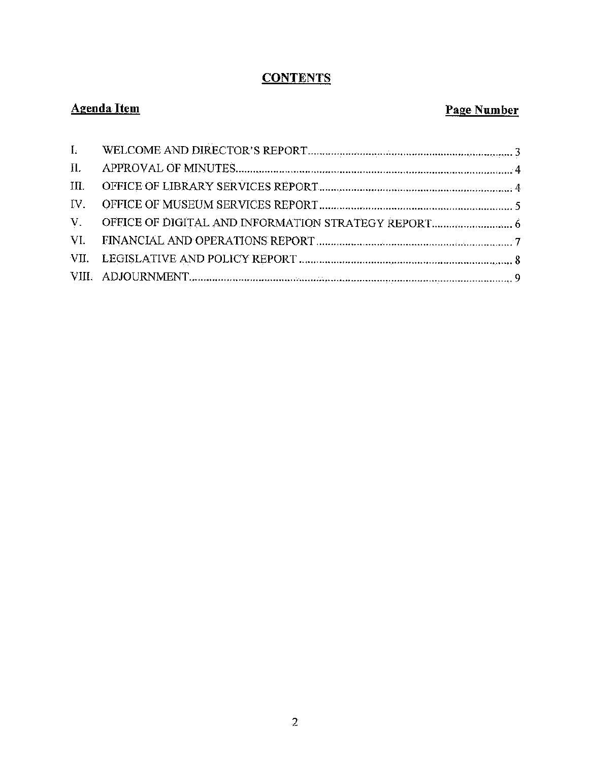# **CONTENTS**

# **Agenda Item Page Number**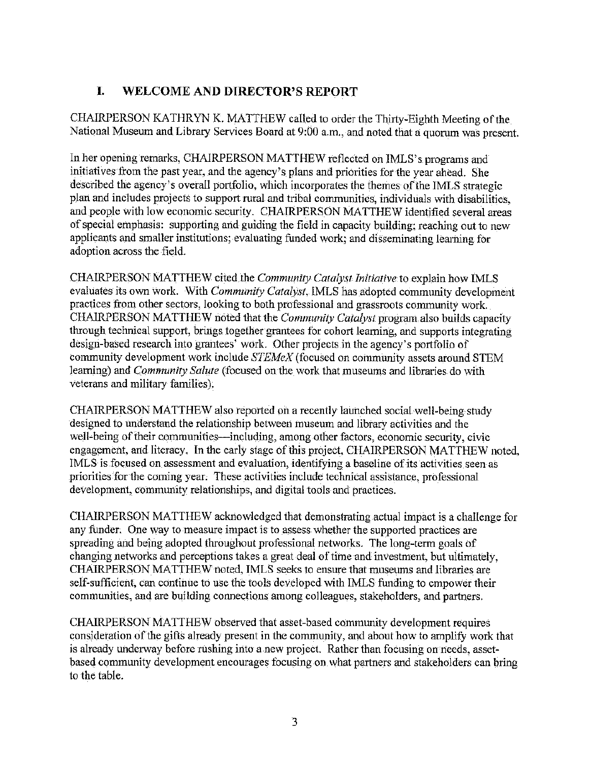# I. **WELCOME AND DIRECTOR'S REPORT**

CHAIRPERSON KATHRYN K. MATTHEW called to order the Thirty-Eighth Meeting of the National Museum and Library Services Board at 9:00 a.m,, and noted that a quorum was present.

In her opening remarks, CHAIRPERSON MATTHEW reflected on JMLS's programs and initiatives from the past year, and the agency's plans and priorities for the year ahead. She described the agency's overall portfolio, which incorporates the themes of the IMLS strategic plan and includes projects to support rural and tribal communities, individuals with disabilities, and people with low economic security. CHAIRPERSON MATTHEW identified several areas of special emphasis: supporting and guiding the field in capacity building; reaching out to new applicants and smaller institutions; evaluating funded work; and disseminating learning for adoption across the field.

CHAIRPERSON MATTHEW cited the *Community Catalyst Initiative* to explain how IMLS evaluates its own work. With *Community Catalyst,* IMLS has adopted community development practices from other sectors, looking to both professional and grassroots connnunity work. CHAIRPERSON MATTHEW noted that the *Community Catalyst* program also builds capacity through technical support, brings together grantees for cohort learning, and supports integrating design-based research into grantees' work. Other projects in the agency's portfolio of connnunity development work include *STEMeX* (focused on community assets around STEM learning) and *Community Salute* (focused on the work that museums and libraries do with veterans and military families).

CHAIRPERSON MATTHEW also reported on a recently launched social well-being study designed to understand the relationship between museum and library activities and the well-being of their communities—including, among other factors, economic security, civic engagement, and literacy. In the early stage of this project, CHAIRPERSON MATTHEW noted, IMLS is focused on assessment and evaluation, identifying a baseline of its activities seen as priorities for the coming year. These activities include technical assistance, professional development, community relationships, and digital tools and practices.

CHAIRPERSON MATTHEW acknowledged that demonstrating actual impact is a challenge for any funder. One way to measure impact is to assess whether the supported practices are spreading and being adopted throughout professional networks. The long-term goals of changing networks and perceptions takes a great deal of time and investment, but ultimately, CHAIRPERSON MATTHEW noted, IMLS seeks to ensure that museums and libraries are self-sufficient, can continue to use the tools developed with IMLS funding to empower their communities, and are building connections among colleagues, stakeholders, and partners.

CHAIRPERSON MATTHEW observed that asset-based community development requires consideration of the gifts already present in the community, and about how to amplify work that is already undenvay before rushing into a new project. Rather than focusing on needs, assetbased community development encourages focusing on what partners and stakeholders can bring to the table.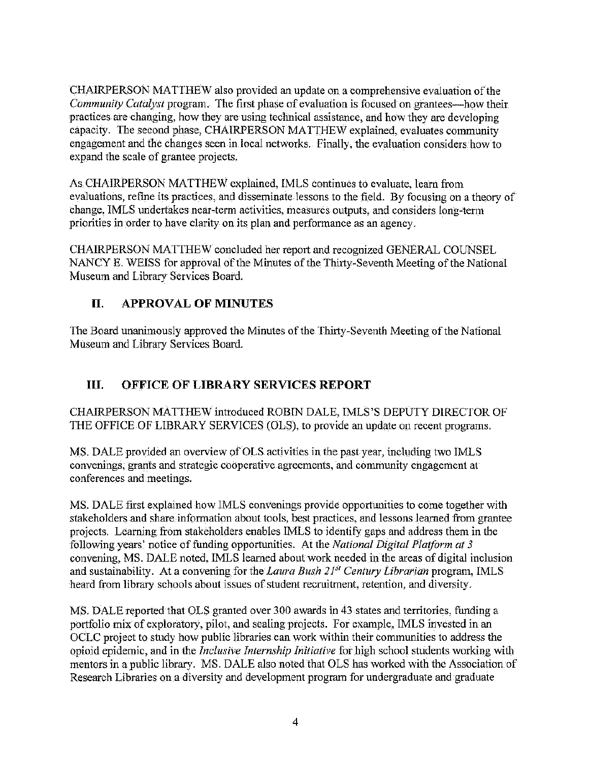CHAIRPERSON MATTHEW also provided an update on a comprehensive evaluation of the *Community Catalyst program.* The first phase of evaluation is focused on grantees—how their practices are changing, how they are using technical assistance) and how they are developing capacity. The second phase, CHAIRPERSON MATTHEW explained, evaluates community engagement and the changes seen in local networks. Finally, the evaluation considers how to expand the scale of grantee projects.

As CHAIRPERSON MATTHEW explained, IMLS continues to evaluate, learn from evaluations, refine its practices, and disseminate lessons to the field. By focusing on a theory of change, IMLS undertakes near-term activities, measures outputs, and considers long-term priorities in order to have clarity on its plan and performance as an agency.

CHAIRPERSON MATTHEW concluded her report and recognized GENERAL COUNSEL NANCY E. WEISS for approval of the Minutes of the Thirty-Seventh Meeting of the National Museum and Library Services Board.

#### II, **APPROVAL OF MINUTES**

The Board unanimously approved the Minutes of the Thirty-Seventh Meeting of the National Museum and Library Services Board.

# III. **OFFICE OF LIBRARY SERVICES REPORT**

CHAIRPERSON MATTHEW introduced ROBIN DALE, IMLS'S DEPUTY DIRECTOR OF THE OFFICE OF LIBRARY SERVICES (OLS), to provide an update on recent programs.

MS. DALE provided an overview of OLS activities in the past year, including two IMLS convenings, grants and strategic cooperative agreements, and community engagement at conferences and meetings.

MS. DALE first explained how IMLS convenings provide opportunities to come together with stakeholders and share information about tools, best practices, and lessons learned from grantee projects. Learrung from stakeholders enables IMLS to identify gaps and address them in the fo1lowing years' notice of funding opportunities. At the *National Digital Platform at 3*  convening, MS. DALE noted, IMLS learned about work needed in the areas of digital inclusion and sustainability. At a convening for the *Laura Bush 2F1 Century Librarian* program, IMLS heard from library schools about issues of student recrnitment, retention, and diversity.

MS. DALE reported that OLS granted over 300 awards in 43 states and territories, funding a portfolio mix of exploratory, pilot, and scaling projects. For example, IMLS invested in an OCLC project to study how public libraries can work within their communities to address the opioid epidemic, and in the *Inclusive Internship Initiative* for high school students working with mentors in a public library. MS. DALE also noted that OLS has worked with the Association of Research Libraries on a diversity and development program for undergraduate and graduate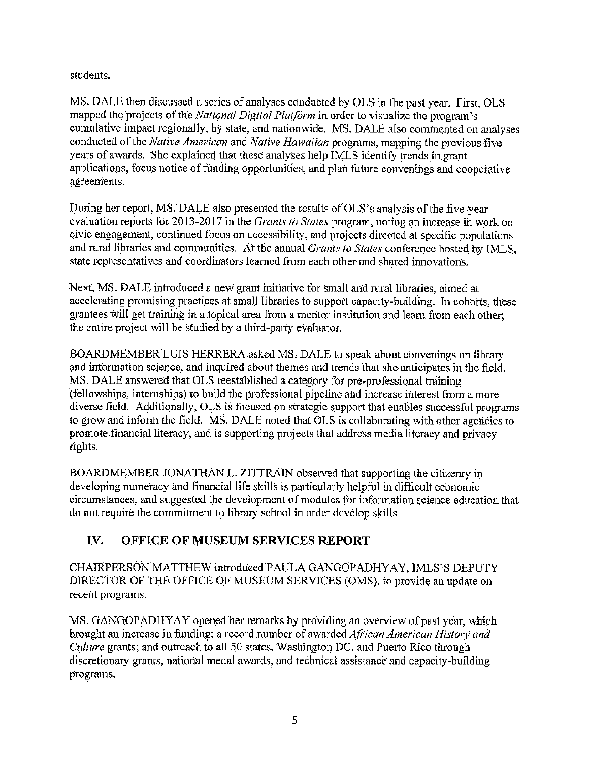students.

MS. DALE then discussed a series of analyses conducted by OLS in the past year. First, OLS mapped the projects of the *National Digital Platform* in order to visualize the program's cumulative impact regionally, by state, and nationwide, MS. DALE also commented on analyses conducted of the *Native American* and *Native Hawaiian* programs, mapping the previous five years of awards. She explained that these analyses help IMLS identify trends in grant applications, focus notice of funding opportunities, and plan future convenings and cooperative agreements.

During her report, MS. DALE also presented the results of OLS's analysis of the five-year evaluation reports for 2013-2017 in the *Grants to States* program, noting an increase in work on civic engagement, continued focus on accessibility, and projects directed at specific populations and rural libraries and communities. At the annual *Grants to States* conference hosted by IMLS, state representatives and coordinators learned from each other and shared innovations.

Next, MS. DALE introduced a new grant initiative for small and rural libraries, aimed at accelerating promising practices at small libraries to support capacity-building. In cohorts, these grantees will get training in a topical area from a mentor institution and learn from each other; the entire project will be studied by a third-party evaluator.

BOARDMEMBER LUIS HERRERA asked MS, DALE to speak about convenings on library and information science, and inquired about themes and trends that she anticipates in the field. MS. DALE answered that OLS reestablished a category for pre-professional training (fellowships, internships) to build the professional pipeline and increase interest from a more diverse field. Additionally, OLS is focused on strategic support that enables successful programs to grow and inform the field. MS. DALE noted that OLS is collaborating with other agencies to promote financial literacy, and is supporting projects that address media literacy and privacy rights.

BOARDMEMBER JONATHAN L. ZITTRAIN observed that supporting the citizenry in developing numeracy and financial life skills is particularly helpful in difficult economic circumstances, and suggested the development of modules for information science education that do not require the commitment to library school in order develop skills.

# **IV. OFFICE OF MUSEUM SERVICES REPORT**

CHAIRPERSON MATTHEW introduced PAULA GANGOPADHYAY. IMLS"S DEPUTY DIRECTOR OF THE OFFICE OF MUSEUM SERVICES (OMS), to provide an update on recent programs.

MS. GANGOPADHYAY opened her remarks by providing an overview of past year, which brought an increase in funding; a record number of awarded *African American History and Culture* grants; and outreach to all 50 states, Washington DC, and Puerto Rico through discretionary grants, national medal awards, and technical assistance and capacity-building programs.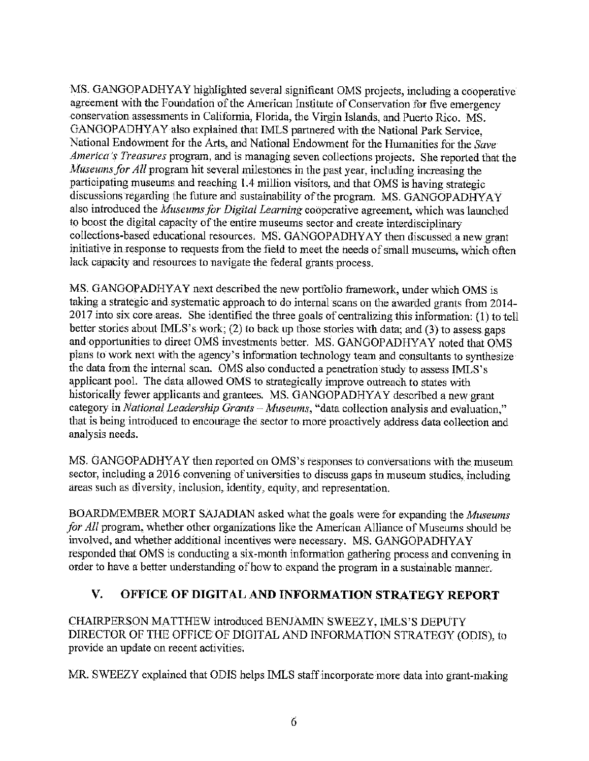MS. GANGOPADHYAY highlighted several significant OMS projects, including a cooperative agreement with the Foundation of the American Institute of Conservation for five emergency conservation assessments in California, Florida, the Virgin Islands, and Puerto Rico. MS. GANGOPADHYAY also explained that IMLS partnered with the National Park Service, National Endowment for the Arts, and National Endowment for the Humanities for the *Save America's Treasures* program, and is managing seven collections projects. She reported that the *Museums for All* program hit several milestones in the past year, including increasing the participating museums and reaching l .4 million visitors, and that OMS is having strategic discussions regarding the future and sustainability of the program. MS. GANGOPADHY A Y also introduced the *Museums JOr Digital Learning* cooperative agreement, which was launched to boost the digital capacity of the entire museums sector and create interdisciplinary collections-based educational resources. MS. GANGOPADHY AY then discussed a new grant initiative in response to requests from the field to meet the needs of small museums, which often lack capacity and resources to navigate the federal grants process.

MS. GANGOPADHYAY next described the new portfolio framework, under which OMS is taking a strategic and systematic approach to do internal scans on the awarded grants from 2014- 2017 into six core areas. She identified the three goals of centralizing this information: (1) to tell better stories about IMLS's work; (2) to back up those stories with data; and (3) to assess gaps and opportunities to direct OMS investments better. MS. GANGOPADHYAY noted that OMS plans to work next with the agency's information technology team and consultants to synthesize the data from the internal scan. OMS also conducted a penetration study to assess JMLS's applicant pool. The data allowed OMS to strategically improve outreach to states with historically fewer applicants and grantees. MS. GANGOPADHYAY described a new grant category in *National Leadership Grants* - *Museums,* ''data collection analysis and evaluation," that is being introduced to encourage the sector to more proactively address data collection and analysis needs.

MS. GANGOPADHYAY then reported on OMS's responses to conversations with the museum sector, including a 2016 convening of universities to discuss gaps in museum studies, including areas such as diversity, inclusion, identity, equity, and representation.

BOARDMEMBER MORT SAJADIAN asked what the goals were for expanding the *Museums for All* program, whether other organizations like the American Alliance of Museums should be involved, and whether additional incentives were necessary. MS. GANGOPADHYAY responded that OMS is conducting a six-month information gathering process and convening in order to have a better understanding of how to expand the program in a sustainable manner.

#### **V. OFFICE OF DIGITAL AND INFORMATION STRATEGY REPORT**

CHAIRPERSON MATTHEW introduced BENJAMIN SWEEZY, IMLS'S DEPUTY DIRECTOR OF THE OFFICE OF DIGIT AL AND INFORMATION STRATEGY (ODIS), to provide an update on recent activities.

MR. SWEEZY explained that ODIS helps IMLS staff incorporate more data into grant-making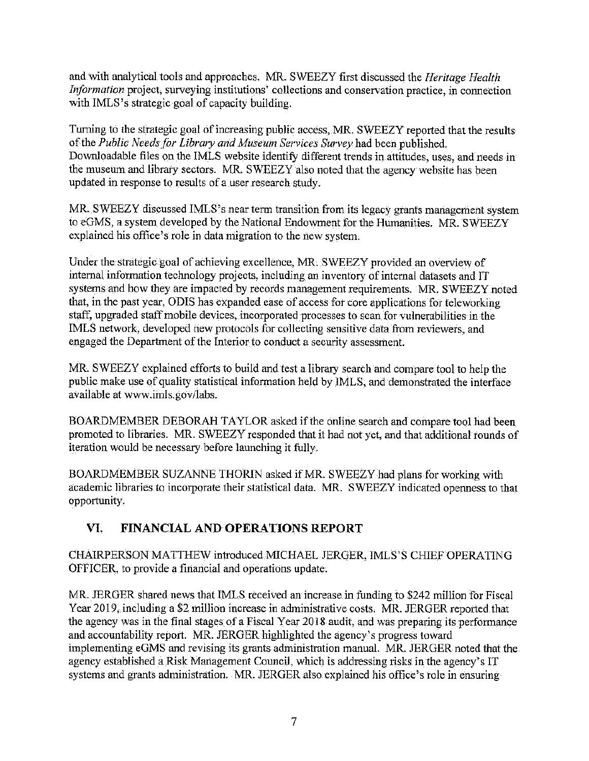and with analytical tools and approaches. MR. SWEEZY first discussed the *Heritage Health Information* project, surveying institutions' collections and conservation practice, in connection with IMLS's strategic goal of capacity building.

Turning to the strategic goal of increasing public access, MR. SWEEZY reported that the results of the Public Needs for Library and Museum Services Survey had been published. Downloadable files on the IMLS website identify different trends in attitudes, uses, and needs in the museum and library sectors. MR. SWEEZY also noted that the agency website has been updated in response to results of a user research study.

MR. SWEEZY discussed IMLS's near term transition from its legacy grants management system to eGMS, a system developed by the National Endowment for the Humanities. MR. SWEEZY explained his office's role in data migration to the new system.

Under the strategic goal of achieving excellence, MR. SWEEZY provided an overview of internal information technology projects, including an inventory of internal datasets and IT systems and how they are impacted by records management requirements. MR. SWEEZY noted that, in the past year, ODIS has expanded ease of access for core applications for teleworking staff, upgraded staff mobile devices, incorporated processes to scan for vulnerabilities in the IMLS network, developed new protocols for collecting sensitive data from reviewers, and engaged the Department of the Interior to conduct a security assessment.

MR. SWEEZY explained efforts to build and test a library search and compare tool to help the public make use of quality statistical information held by JMLS, and demonstrated the interface available at www.imis.gov/labs.

BOARDMEMBER DEBORAH TAYLOR asked if the online search and compare tool had been promoted to libraries. MR. SWEEZY responded that it had not yet, and that additional rounds of iteration would be necessary before launching it fully.

BOARDMEMBER SUZANNE THORIN asked if MR. SWEEZY had plans for working with academic libraries to incorporate their statistical data. MR. SWEEZY indicated openness to that opportunity.

# **VI. FINANCIAL AND OPERATIONS REPORT**

CHAIRPERSON MATTHEW introduced MICHAEL JERGER, IMLS'S CHIEF OPERATING OFFICER, to provide a financial and operations update.

MR. JERGER shared news that IMLS received an increase in funding to \$242 million for Fiscal Year 2019, including a \$2 million increase in administrative costs. MR. JERGER reported that the agency was in the final stages of a Fiscal Year 2018 audit, and was preparing its performance and accountability report. MR JERGER highlighted the agency's progress toward implementing eGMS and revising its grants administration manual. MR. JERGER noted that the agency established a Risk Management Council, which is addressing risks in the agency's IT systems and grants administration. MR. JERGER also explained his office's role in ensuring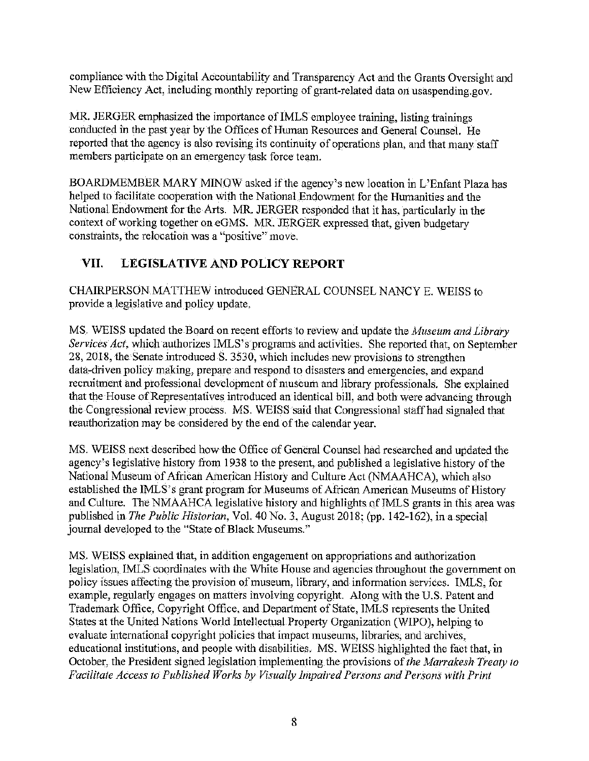compliance with the Digital Accountability and Transparency Act and the Grants Oversight and New Efficiency Act, including monthly reporting of grant-related data on usaspending.gov.

MR. JERGER emphasized the importance of IMLS employee training, listing trainings conducted in the past year by the Offices of Human Resources and General Counsel. He reported that the agency is also revising its continuity of operations plan, and that many staff members participate on an emergency task force team.

BOARDMEMBER MARY MINOW asked if the agency's new location in L'Enfant Plaza has helped to facilitate cooperation with the National Endowment for the Humanities and the National Endowment for the Arts. MR. JERGER responded that it has, particularly in the context of working together on eGMS. MR. JERGER expressed that, given budgetary constraints, the relocation was a "'positive" move.

# **VII. LEGISLATIVE AND POLICY REPORT**

CHAIRPERSON MATTHEW introduced GENERAL COUNSEL NANCY E. WEISS to provide a legislative and policy update.

MS. WEISS updated the Board on recent efforts to review and update the *Afuseum and Library Services Act,* which authorizes IMLS's programs and activities. She reported that, on September 28, 2018, the Senate introduced S. 3530, which includes new provisions to strengthen data-driven policy making, prepare and respond to disasters and emergencies, and expand recruitment and professional development of museum and library professionals. She explained that the House of Representatives introduced an identical bill, and both were advancing through the Congressional review process. MS. WEISS said that Congressional staff had signaled that reauthorization may be considered by the end of the calendar year.

MS. WEISS next described how the Office of General Counsel had researched and updated the agency's legislative history from 1938 to the present, and published a legislative history of the National Museum of African American History and Culture Act (NMAAHCA), which also established the IMLS's grant program for Museums of African American Museums of History and Culture. The NMAAHCA legislative history and highlights of IMLS grants in this area was published in *The Public Historian,* Vol. 40 No. 3, August 2018; (pp. 142-162), in a special journal developed to the "State of Black Museums."

MS. WEISS explained that, in addition engagement on appropriations and authorization legislation, IMLS coordinates with the White House and agencies throughout the government on policy issues affecting the provision of museum, library, and information services. IMLS, for example, regularly engages on matters involving copyright. Along with the U.S. Patent and Trademark Office, Copyright Office, and Department of State, IMLS represents the United States at the United Nations World Intellectual Property Organization (WIPO), helping to evaluate international copyright policies that impact museums, libraries, and archives, educational institutions, and people with disabilities, MS. WEISS highlighted the fact that, in October, the President signed legislation implementing the provisions of *the Marrakesh Treaty to Facilitate Access to Published Works by Visually Impaired Persons and Persons with Print*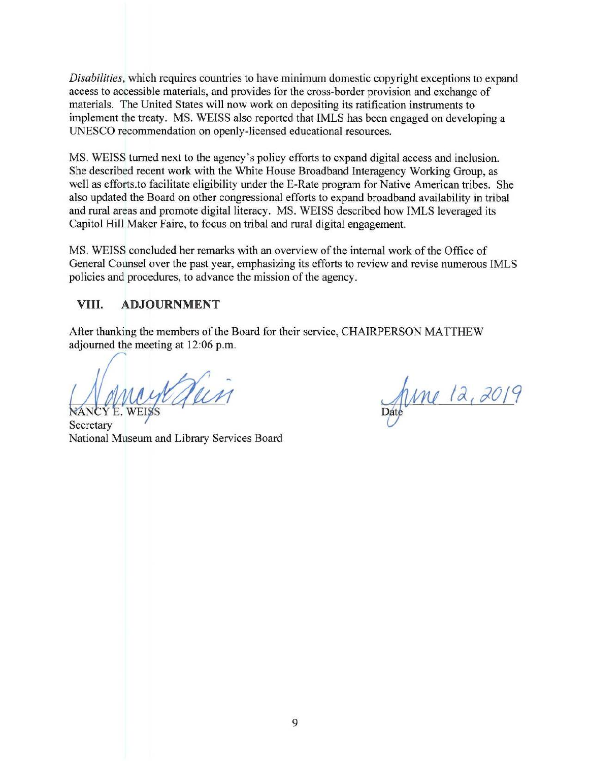*Disabilities,* which requires countries to have minimum domestic copyright exceptions to expand access to accessible materials, and provides for the cross-border provision and exchange of materials. The United States will now work on depositing its ratification instruments to implement the treaty. MS. WEISS also reported that IMLS has been engaged on developing a UNESCO recommendation on openly-licensed educational resources.

MS. WEISS turned next to the agency's policy efforts to expand digital access and inclusion. She described recent work with the White House Broadband Interagency Working Group, as well as efforts.to facilitate eligibility under the E-Rate program for Native American tribes. She also updated the Board on other congressional efforts to expand broadband availability in tribal and rural areas and promote digital literacy. MS. WEISS described how IMLS leveraged its Capitol Hill Maker Faire, to focus on tribal and rural digital engagement.

MS. WEISS concluded her remarks with an overview of the internal work of the Office of General Counsel over the past year, emphasizing its efforts to review and revise numerous IMLS policies and procedures, to advance the mission of the agency.

#### **VIII. ADJOURNMENT**

After thanking the members of the Board for their service, CHAIRPERSON MATTHEW adjourned the meeting at 12:06 p.m.

**Secretary** National Museum and Library Services Board

June 12, 2019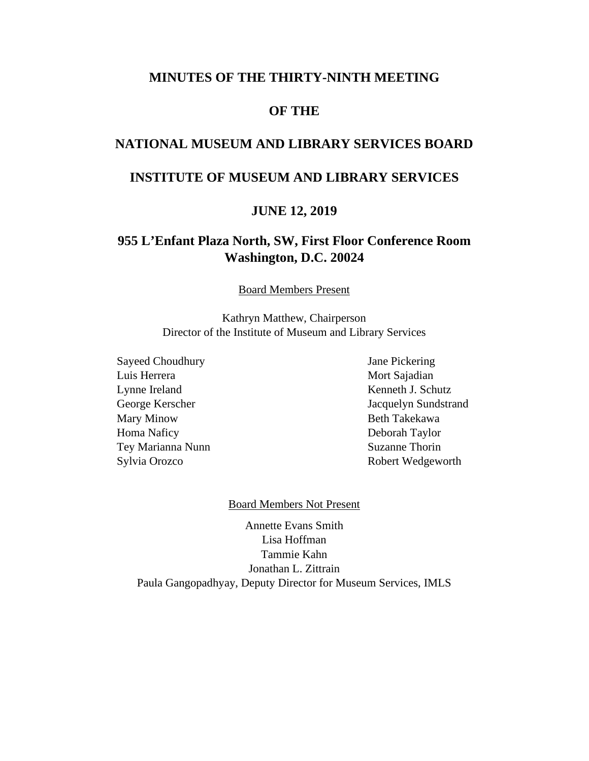#### **MINUTES OF THE THIRTY-NINTH MEETING**

#### **OF THE**

#### **NATIONAL MUSEUM AND LIBRARY SERVICES BOARD**

#### **INSTITUTE OF MUSEUM AND LIBRARY SERVICES**

#### **JUNE 12, 2019**

#### **955 L'Enfant Plaza North, SW, First Floor Conference Room Washington, D.C. 20024**

Board Members Present

Kathryn Matthew, Chairperson Director of the Institute of Museum and Library Services

Sayeed Choudhury Jane Pickering Luis Herrera Mort Sajadian Lynne Ireland Kenneth J. Schutz Mary Minow Beth Takekawa Homa Naficy Deborah Taylor Tey Marianna Nunn Suzanne Thorin Sylvia Orozco Robert Wedgeworth

George Kerscher Jacquelyn Sundstrand

#### Board Members Not Present

Annette Evans Smith Lisa Hoffman Tammie Kahn Jonathan L. Zittrain Paula Gangopadhyay, Deputy Director for Museum Services, IMLS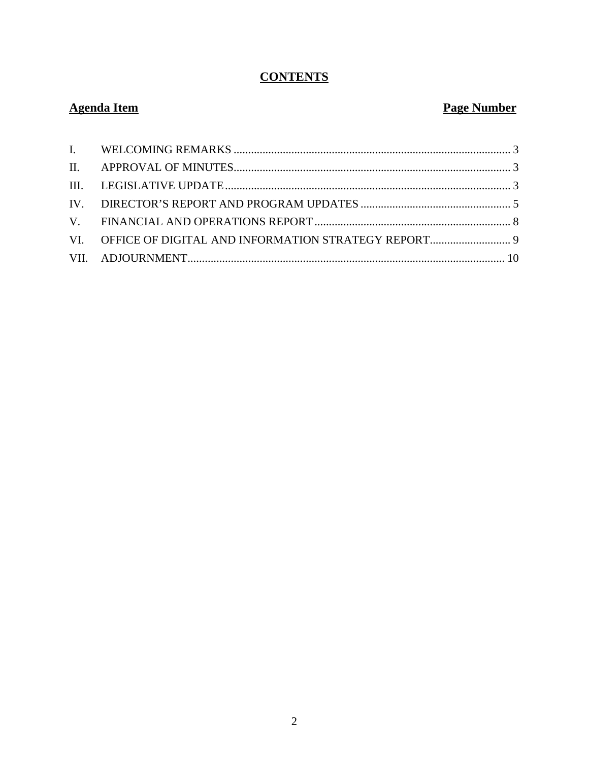# **CONTENTS**

# **Agenda Item**

# **Page Number**

| VI. OFFICE OF DIGITAL AND INFORMATION STRATEGY REPORT 9 |  |
|---------------------------------------------------------|--|
|                                                         |  |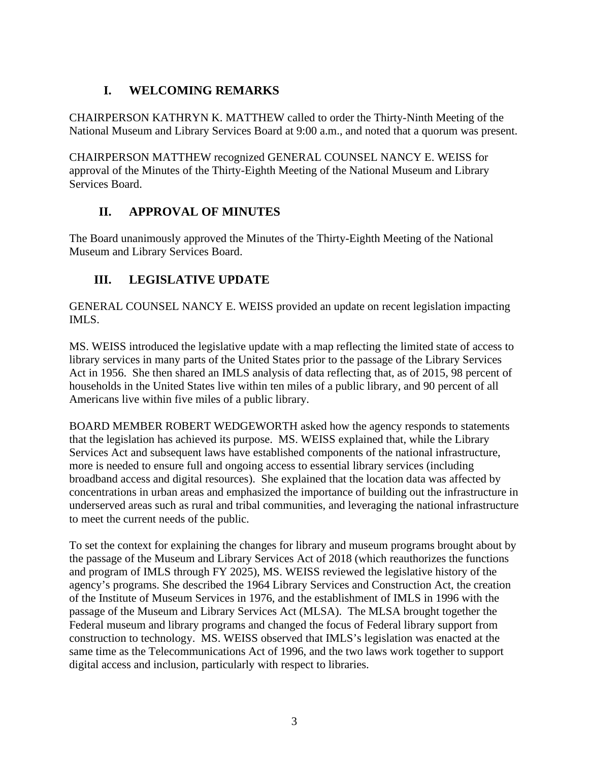# **I. WELCOMING REMARKS**

<span id="page-13-0"></span>CHAIRPERSON KATHRYN K. MATTHEW called to order the Thirty-Ninth Meeting of the National Museum and Library Services Board at 9:00 a.m., and noted that a quorum was present.

CHAIRPERSON MATTHEW recognized GENERAL COUNSEL NANCY E. WEISS for approval of the Minutes of the Thirty-Eighth Meeting of the National Museum and Library Services Board.

# **II. APPROVAL OF MINUTES**

<span id="page-13-1"></span>The Board unanimously approved the Minutes of the Thirty-Eighth Meeting of the National Museum and Library Services Board.

# <span id="page-13-2"></span>**III. LEGISLATIVE UPDATE**

GENERAL COUNSEL NANCY E. WEISS provided an update on recent legislation impacting IMLS.

MS. WEISS introduced the legislative update with a map reflecting the limited state of access to library services in many parts of the United States prior to the passage of the Library Services Act in 1956. She then shared an IMLS analysis of data reflecting that, as of 2015, 98 percent of households in the United States live within ten miles of a public library, and 90 percent of all Americans live within five miles of a public library.

BOARD MEMBER ROBERT WEDGEWORTH asked how the agency responds to statements that the legislation has achieved its purpose. MS. WEISS explained that, while the Library Services Act and subsequent laws have established components of the national infrastructure, more is needed to ensure full and ongoing access to essential library services (including broadband access and digital resources). She explained that the location data was affected by concentrations in urban areas and emphasized the importance of building out the infrastructure in underserved areas such as rural and tribal communities, and leveraging the national infrastructure to meet the current needs of the public.

To set the context for explaining the changes for library and museum programs brought about by the passage of the Museum and Library Services Act of 2018 (which reauthorizes the functions and program of IMLS through FY 2025), MS. WEISS reviewed the legislative history of the agency's programs. She described the 1964 Library Services and Construction Act, the creation of the Institute of Museum Services in 1976, and the establishment of IMLS in 1996 with the passage of the Museum and Library Services Act (MLSA). The MLSA brought together the Federal museum and library programs and changed the focus of Federal library support from construction to technology. MS. WEISS observed that IMLS's legislation was enacted at the same time as the Telecommunications Act of 1996, and the two laws work together to support digital access and inclusion, particularly with respect to libraries.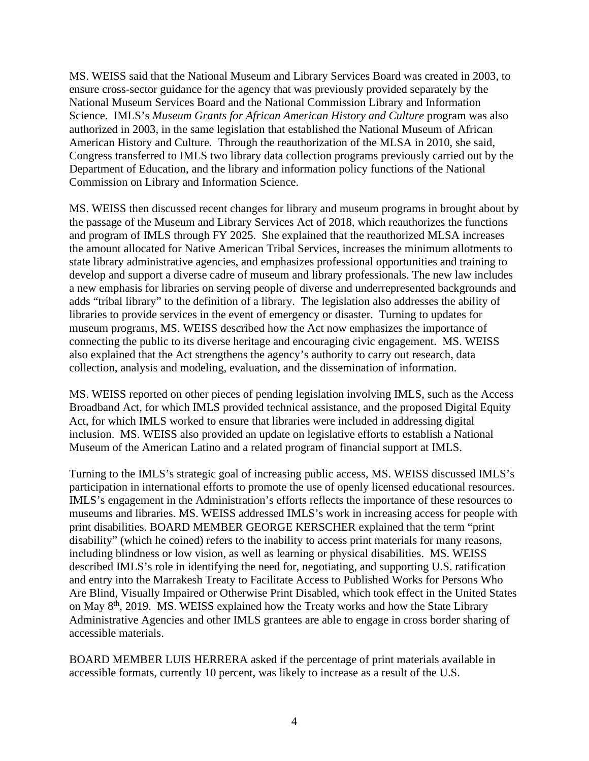MS. WEISS said that the National Museum and Library Services Board was created in 2003, to ensure cross-sector guidance for the agency that was previously provided separately by the National Museum Services Board and the National Commission Library and Information Science. IMLS's *Museum Grants for African American History and Culture* program was also authorized in 2003, in the same legislation that established the National Museum of African American History and Culture. Through the reauthorization of the MLSA in 2010, she said, Congress transferred to IMLS two library data collection programs previously carried out by the Department of Education, and the library and information policy functions of the National Commission on Library and Information Science.

MS. WEISS then discussed recent changes for library and museum programs in brought about by the passage of the Museum and Library Services Act of 2018, which reauthorizes the functions and program of IMLS through FY 2025. She explained that the reauthorized MLSA increases the amount allocated for Native American Tribal Services, increases the minimum allotments to state library administrative agencies, and emphasizes professional opportunities and training to develop and support a diverse cadre of museum and library professionals. The new law includes a new emphasis for libraries on serving people of diverse and underrepresented backgrounds and adds "tribal library" to the definition of a library. The legislation also addresses the ability of libraries to provide services in the event of emergency or disaster. Turning to updates for museum programs, MS. WEISS described how the Act now emphasizes the importance of connecting the public to its diverse heritage and encouraging civic engagement. MS. WEISS also explained that the Act strengthens the agency's authority to carry out research, data collection, analysis and modeling, evaluation, and the dissemination of information.

MS. WEISS reported on other pieces of pending legislation involving IMLS, such as the Access Broadband Act, for which IMLS provided technical assistance, and the proposed Digital Equity Act, for which IMLS worked to ensure that libraries were included in addressing digital inclusion. MS. WEISS also provided an update on legislative efforts to establish a National Museum of the American Latino and a related program of financial support at IMLS.

Turning to the IMLS's strategic goal of increasing public access, MS. WEISS discussed IMLS's participation in international efforts to promote the use of openly licensed educational resources. IMLS's engagement in the Administration's efforts reflects the importance of these resources to museums and libraries. MS. WEISS addressed IMLS's work in increasing access for people with print disabilities. BOARD MEMBER GEORGE KERSCHER explained that the term "print disability" (which he coined) refers to the inability to access print materials for many reasons, including blindness or low vision, as well as learning or physical disabilities. MS. WEISS described IMLS's role in identifying the need for, negotiating, and supporting U.S. ratification and entry into the Marrakesh Treaty to Facilitate Access to Published Works for Persons Who Are Blind, Visually Impaired or Otherwise Print Disabled, which took effect in the United States on May 8th, 2019. MS. WEISS explained how the Treaty works and how the State Library Administrative Agencies and other IMLS grantees are able to engage in cross border sharing of accessible materials.

BOARD MEMBER LUIS HERRERA asked if the percentage of print materials available in accessible formats, currently 10 percent, was likely to increase as a result of the U.S.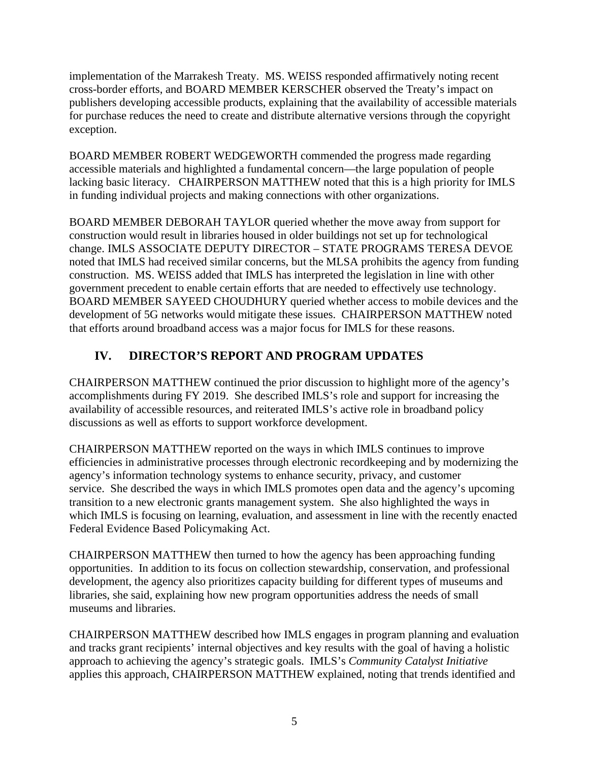implementation of the Marrakesh Treaty. MS. WEISS responded affirmatively noting recent cross-border efforts, and BOARD MEMBER KERSCHER observed the Treaty's impact on publishers developing accessible products, explaining that the availability of accessible materials for purchase reduces the need to create and distribute alternative versions through the copyright exception.

BOARD MEMBER ROBERT WEDGEWORTH commended the progress made regarding accessible materials and highlighted a fundamental concern—the large population of people lacking basic literacy. CHAIRPERSON MATTHEW noted that this is a high priority for IMLS in funding individual projects and making connections with other organizations.

BOARD MEMBER DEBORAH TAYLOR queried whether the move away from support for construction would result in libraries housed in older buildings not set up for technological change. IMLS ASSOCIATE DEPUTY DIRECTOR – STATE PROGRAMS TERESA DEVOE noted that IMLS had received similar concerns, but the MLSA prohibits the agency from funding construction. MS. WEISS added that IMLS has interpreted the legislation in line with other government precedent to enable certain efforts that are needed to effectively use technology. BOARD MEMBER SAYEED CHOUDHURY queried whether access to mobile devices and the development of 5G networks would mitigate these issues. CHAIRPERSON MATTHEW noted that efforts around broadband access was a major focus for IMLS for these reasons.

#### <span id="page-15-0"></span>**IV. DIRECTOR'S REPORT AND PROGRAM UPDATES**

CHAIRPERSON MATTHEW continued the prior discussion to highlight more of the agency's accomplishments during FY 2019. She described IMLS's role and support for increasing the availability of accessible resources, and reiterated IMLS's active role in broadband policy discussions as well as efforts to support workforce development.

CHAIRPERSON MATTHEW reported on the ways in which IMLS continues to improve efficiencies in administrative processes through electronic recordkeeping and by modernizing the agency's information technology systems to enhance security, privacy, and customer service. She described the ways in which IMLS promotes open data and the agency's upcoming transition to a new electronic grants management system. She also highlighted the ways in which IMLS is focusing on learning, evaluation, and assessment in line with the recently enacted Federal Evidence Based Policymaking Act.

CHAIRPERSON MATTHEW then turned to how the agency has been approaching funding opportunities. In addition to its focus on collection stewardship, conservation, and professional development, the agency also prioritizes capacity building for different types of museums and libraries, she said, explaining how new program opportunities address the needs of small museums and libraries.

CHAIRPERSON MATTHEW described how IMLS engages in program planning and evaluation and tracks grant recipients' internal objectives and key results with the goal of having a holistic approach to achieving the agency's strategic goals. IMLS's *Community Catalyst Initiative* applies this approach, CHAIRPERSON MATTHEW explained, noting that trends identified and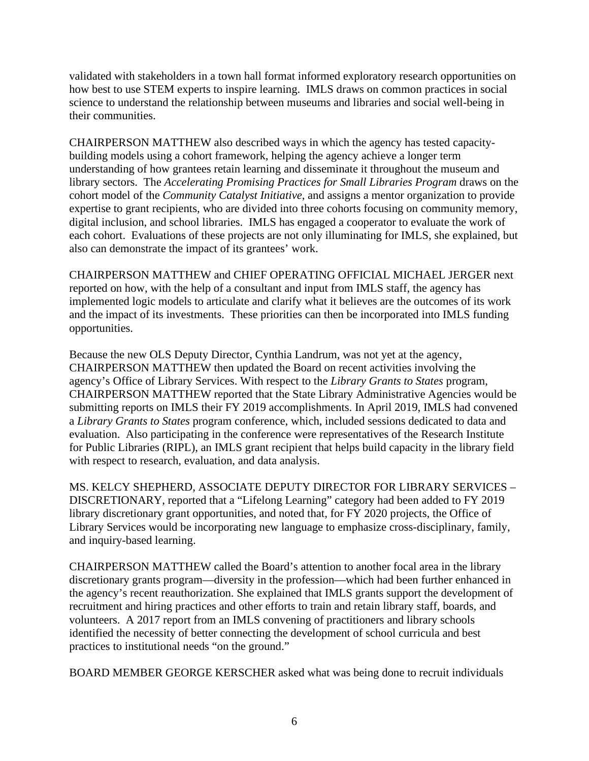validated with stakeholders in a town hall format informed exploratory research opportunities on how best to use STEM experts to inspire learning. IMLS draws on common practices in social science to understand the relationship between museums and libraries and social well-being in their communities.

CHAIRPERSON MATTHEW also described ways in which the agency has tested capacitybuilding models using a cohort framework, helping the agency achieve a longer term understanding of how grantees retain learning and disseminate it throughout the museum and library sectors. The *Accelerating Promising Practices for Small Libraries Program* draws on the cohort model of the *Community Catalyst Initiative*, and assigns a mentor organization to provide expertise to grant recipients, who are divided into three cohorts focusing on community memory, digital inclusion, and school libraries. IMLS has engaged a cooperator to evaluate the work of each cohort. Evaluations of these projects are not only illuminating for IMLS, she explained, but also can demonstrate the impact of its grantees' work.

CHAIRPERSON MATTHEW and CHIEF OPERATING OFFICIAL MICHAEL JERGER next reported on how, with the help of a consultant and input from IMLS staff, the agency has implemented logic models to articulate and clarify what it believes are the outcomes of its work and the impact of its investments. These priorities can then be incorporated into IMLS funding opportunities.

Because the new OLS Deputy Director, Cynthia Landrum, was not yet at the agency, CHAIRPERSON MATTHEW then updated the Board on recent activities involving the agency's Office of Library Services. With respect to the *Library Grants to States* program, CHAIRPERSON MATTHEW reported that the State Library Administrative Agencies would be submitting reports on IMLS their FY 2019 accomplishments. In April 2019, IMLS had convened a *Library Grants to States* program conference, which, included sessions dedicated to data and evaluation. Also participating in the conference were representatives of the Research Institute for Public Libraries (RIPL), an IMLS grant recipient that helps build capacity in the library field with respect to research, evaluation, and data analysis.

MS. KELCY SHEPHERD, ASSOCIATE DEPUTY DIRECTOR FOR LIBRARY SERVICES – DISCRETIONARY, reported that a "Lifelong Learning" category had been added to FY 2019 library discretionary grant opportunities, and noted that, for FY 2020 projects, the Office of Library Services would be incorporating new language to emphasize cross-disciplinary, family, and inquiry-based learning.

CHAIRPERSON MATTHEW called the Board's attention to another focal area in the library discretionary grants program—diversity in the profession—which had been further enhanced in the agency's recent reauthorization. She explained that IMLS grants support the development of recruitment and hiring practices and other efforts to train and retain library staff, boards, and volunteers. A 2017 report from an IMLS convening of practitioners and library schools identified the necessity of better connecting the development of school curricula and best practices to institutional needs "on the ground."

BOARD MEMBER GEORGE KERSCHER asked what was being done to recruit individuals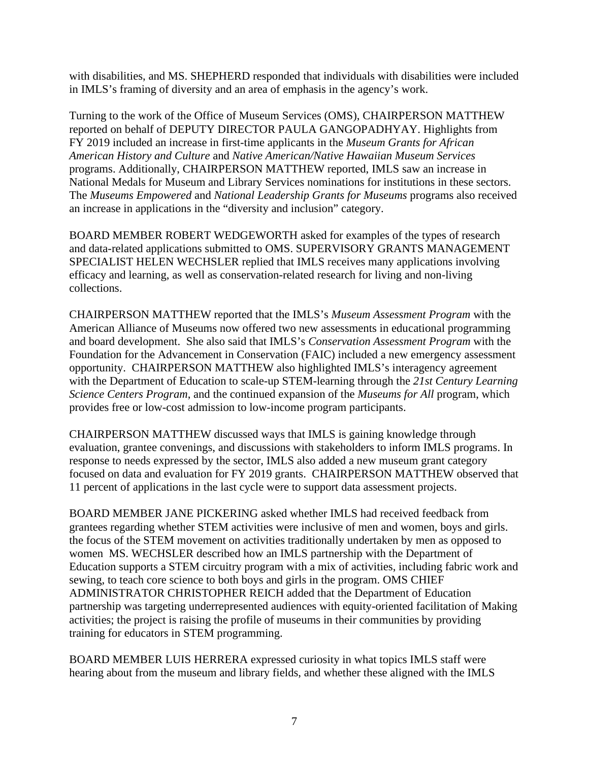with disabilities, and MS. SHEPHERD responded that individuals with disabilities were included in IMLS's framing of diversity and an area of emphasis in the agency's work.

Turning to the work of the Office of Museum Services (OMS), CHAIRPERSON MATTHEW reported on behalf of DEPUTY DIRECTOR PAULA GANGOPADHYAY. Highlights from FY 2019 included an increase in first-time applicants in the *Museum Grants for African American History and Culture* and *Native American/Native Hawaiian Museum Services* programs. Additionally, CHAIRPERSON MATTHEW reported, IMLS saw an increase in National Medals for Museum and Library Services nominations for institutions in these sectors. The *Museums Empowered* and *National Leadership Grants for Museums* programs also received an increase in applications in the "diversity and inclusion" category.

BOARD MEMBER ROBERT WEDGEWORTH asked for examples of the types of research and data-related applications submitted to OMS. SUPERVISORY GRANTS MANAGEMENT SPECIALIST HELEN WECHSLER replied that IMLS receives many applications involving efficacy and learning, as well as conservation-related research for living and non-living collections.

CHAIRPERSON MATTHEW reported that the IMLS's *Museum Assessment Program* with the American Alliance of Museums now offered two new assessments in educational programming and board development. She also said that IMLS's *Conservation Assessment Program* with the Foundation for the Advancement in Conservation (FAIC) included a new emergency assessment opportunity. CHAIRPERSON MATTHEW also highlighted IMLS's interagency agreement with the Department of Education to scale-up STEM-learning through the *21st Century Learning Science Centers Program*, and the continued expansion of the *Museums for All* program, which provides free or low-cost admission to low-income program participants.

CHAIRPERSON MATTHEW discussed ways that IMLS is gaining knowledge through evaluation, grantee convenings, and discussions with stakeholders to inform IMLS programs. In response to needs expressed by the sector, IMLS also added a new museum grant category focused on data and evaluation for FY 2019 grants. CHAIRPERSON MATTHEW observed that 11 percent of applications in the last cycle were to support data assessment projects.

BOARD MEMBER JANE PICKERING asked whether IMLS had received feedback from grantees regarding whether STEM activities were inclusive of men and women, boys and girls. the focus of the STEM movement on activities traditionally undertaken by men as opposed to women MS. WECHSLER described how an IMLS partnership with the Department of Education supports a STEM circuitry program with a mix of activities, including fabric work and sewing, to teach core science to both boys and girls in the program. OMS CHIEF ADMINISTRATOR CHRISTOPHER REICH added that the Department of Education partnership was targeting underrepresented audiences with equity-oriented facilitation of Making activities; the project is raising the profile of museums in their communities by providing training for educators in STEM programming.

BOARD MEMBER LUIS HERRERA expressed curiosity in what topics IMLS staff were hearing about from the museum and library fields, and whether these aligned with the IMLS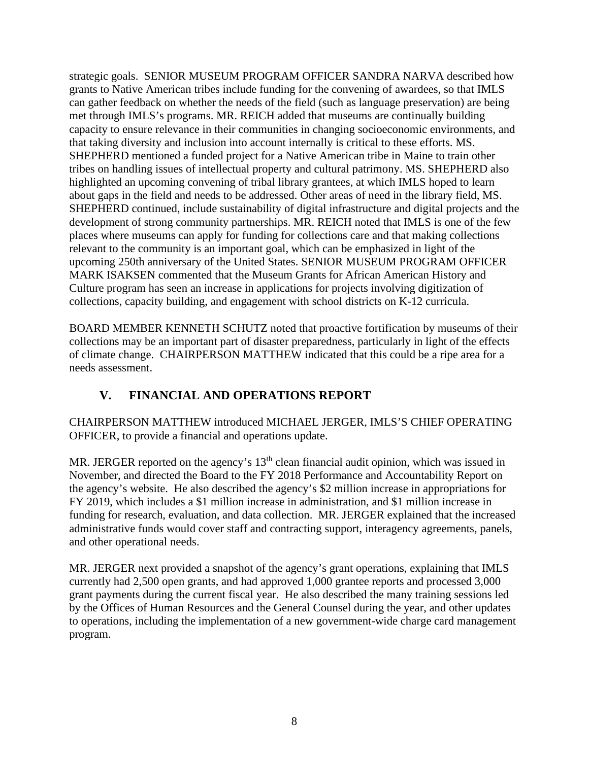strategic goals. SENIOR MUSEUM PROGRAM OFFICER SANDRA NARVA described how grants to Native American tribes include funding for the convening of awardees, so that IMLS can gather feedback on whether the needs of the field (such as language preservation) are being met through IMLS's programs. MR. REICH added that museums are continually building capacity to ensure relevance in their communities in changing socioeconomic environments, and that taking diversity and inclusion into account internally is critical to these efforts. MS. SHEPHERD mentioned a funded project for a Native American tribe in Maine to train other tribes on handling issues of intellectual property and cultural patrimony. MS. SHEPHERD also highlighted an upcoming convening of tribal library grantees, at which IMLS hoped to learn about gaps in the field and needs to be addressed. Other areas of need in the library field, MS. SHEPHERD continued, include sustainability of digital infrastructure and digital projects and the development of strong community partnerships. MR. REICH noted that IMLS is one of the few places where museums can apply for funding for collections care and that making collections relevant to the community is an important goal, which can be emphasized in light of the upcoming 250th anniversary of the United States. SENIOR MUSEUM PROGRAM OFFICER MARK ISAKSEN commented that the Museum Grants for African American History and Culture program has seen an increase in applications for projects involving digitization of collections, capacity building, and engagement with school districts on K-12 curricula.

BOARD MEMBER KENNETH SCHUTZ noted that proactive fortification by museums of their collections may be an important part of disaster preparedness, particularly in light of the effects of climate change. CHAIRPERSON MATTHEW indicated that this could be a ripe area for a needs assessment.

#### **V. FINANCIAL AND OPERATIONS REPORT**

<span id="page-18-0"></span>CHAIRPERSON MATTHEW introduced MICHAEL JERGER, IMLS'S CHIEF OPERATING OFFICER, to provide a financial and operations update.

MR. JERGER reported on the agency's  $13<sup>th</sup>$  clean financial audit opinion, which was issued in November, and directed the Board to the FY 2018 Performance and Accountability Report on the agency's website. He also described the agency's \$2 million increase in appropriations for FY 2019, which includes a \$1 million increase in administration, and \$1 million increase in funding for research, evaluation, and data collection. MR. JERGER explained that the increased administrative funds would cover staff and contracting support, interagency agreements, panels, and other operational needs.

MR. JERGER next provided a snapshot of the agency's grant operations, explaining that IMLS currently had 2,500 open grants, and had approved 1,000 grantee reports and processed 3,000 grant payments during the current fiscal year. He also described the many training sessions led by the Offices of Human Resources and the General Counsel during the year, and other updates to operations, including the implementation of a new government-wide charge card management program.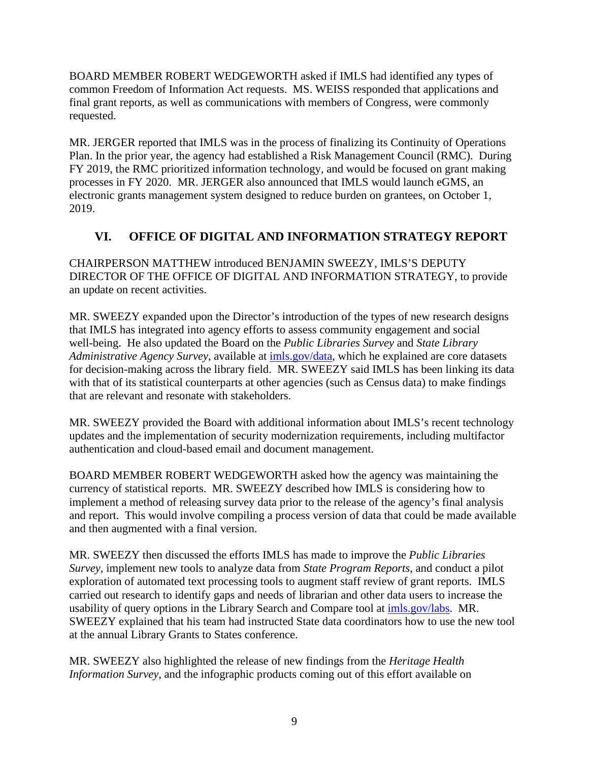BOARD MEMBER ROBERT WEDGEWORTH asked if IMLS had identified any types of common Freedom of Information Act requests. MS. WEISS responded that applications and final grant reports, as well as communications with members of Congress, were commonly requested.

MR. JERGER reported that IMLS was in the process of finalizing its Continuity of Operations Plan. In the prior year, the agency had established a Risk Management Council (RMC). During FY 2019, the RMC prioritized information technology, and would be focused on grant making processes in FY 2020. MR. JERGER also announced that IMLS would launch eGMS, an electronic grants management system designed to reduce burden on grantees, on October 1, 2019.

#### <span id="page-19-0"></span>**VI. OFFICE OF DIGITAL AND INFORMATION STRATEGY REPORT**

CHAIRPERSON MATTHEW introduced BENJAMIN SWEEZY, IMLS'S DEPUTY DIRECTOR OF THE OFFICE OF DIGITAL AND INFORMATION STRATEGY, to provide an update on recent activities.

MR. SWEEZY expanded upon the Director's introduction of the types of new research designs that IMLS has integrated into agency efforts to assess community engagement and social well-being. He also updated the Board on the *Public Libraries Survey* and *State Library Administrative Agency Survey*, available at [imls.gov/data,](http://imls.gov/data) which he explained are core datasets for decision-making across the library field. MR. SWEEZY said IMLS has been linking its data with that of its statistical counterparts at other agencies (such as Census data) to make findings that are relevant and resonate with stakeholders.

MR. SWEEZY provided the Board with additional information about IMLS's recent technology updates and the implementation of security modernization requirements, including multifactor authentication and cloud-based email and document management.

BOARD MEMBER ROBERT WEDGEWORTH asked how the agency was maintaining the currency of statistical reports. MR. SWEEZY described how IMLS is considering how to implement a method of releasing survey data prior to the release of the agency's final analysis and report. This would involve compiling a process version of data that could be made available and then augmented with a final version.

MR. SWEEZY then discussed the efforts IMLS has made to improve the *Public Libraries Survey*, implement new tools to analyze data from *State Program Reports*, and conduct a pilot exploration of automated text processing tools to augment staff review of grant reports. IMLS carried out research to identify gaps and needs of librarian and other data users to increase the usability of query options in the Library Search and Compare tool at [imls.gov/labs.](http://imls.gov/labs) MR. SWEEZY explained that his team had instructed State data coordinators how to use the new tool at the annual Library Grants to States conference.

MR. SWEEZY also highlighted the release of new findings from the *Heritage Health Information Survey*, and the infographic products coming out of this effort available on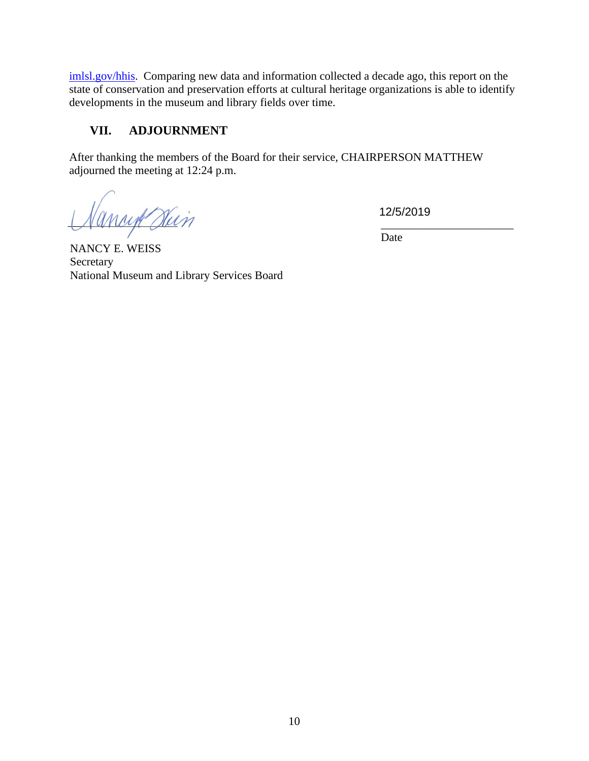[imlsl.gov/hhis.](http://imlsl.gov/hhis) Comparing new data and information collected a decade ago, this report on the state of conservation and preservation efforts at cultural heritage organizations is able to identify developments in the museum and library fields over time.

#### <span id="page-20-0"></span>**VII. ADJOURNMENT**

After thanking the members of the Board for their service, CHAIRPERSON MATTHEW adjourned the meeting at 12:24 p.m.

Cancert Duin

12/5/2019

 $\overline{\text{Date}}$ 

NANCY E. WEISS Secretary National Museum and Library Services Board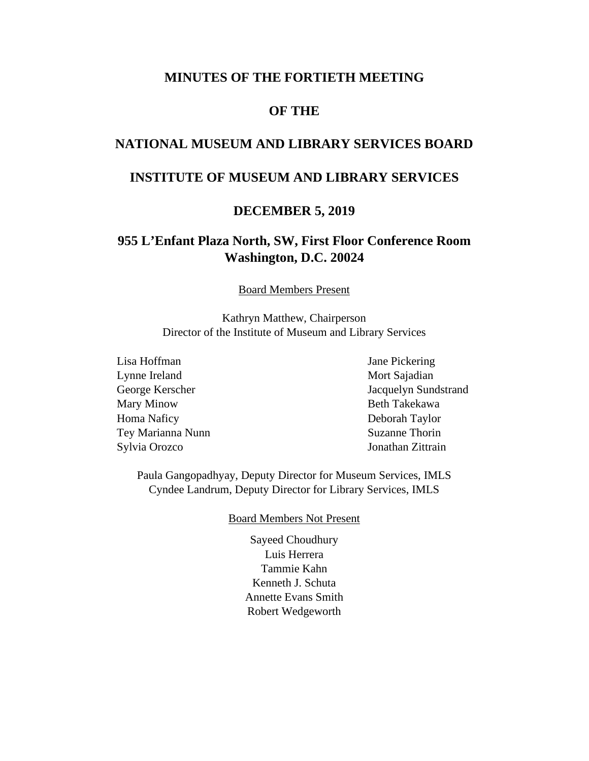#### **MINUTES OF THE FORTIETH MEETING**

#### **OF THE**

#### **NATIONAL MUSEUM AND LIBRARY SERVICES BOARD**

#### **INSTITUTE OF MUSEUM AND LIBRARY SERVICES**

#### **DECEMBER 5, 2019**

#### **955 L'Enfant Plaza North, SW, First Floor Conference Room Washington, D.C. 20024**

Board Members Present

Kathryn Matthew, Chairperson Director of the Institute of Museum and Library Services

Lisa Hoffman Jane Pickering Lynne Ireland Mort Sajadian Mary Minow Beth Takekawa Homa Naficy Deborah Taylor Tey Marianna Nunn Suzanne Thorin Sylvia Orozco Jonathan Zittrain

George Kerscher Jacquelyn Sundstrand

Paula Gangopadhyay, Deputy Director for Museum Services, IMLS Cyndee Landrum, Deputy Director for Library Services, IMLS

#### Board Members Not Present

Sayeed Choudhury Luis Herrera Tammie Kahn Kenneth J. Schuta Annette Evans Smith Robert Wedgeworth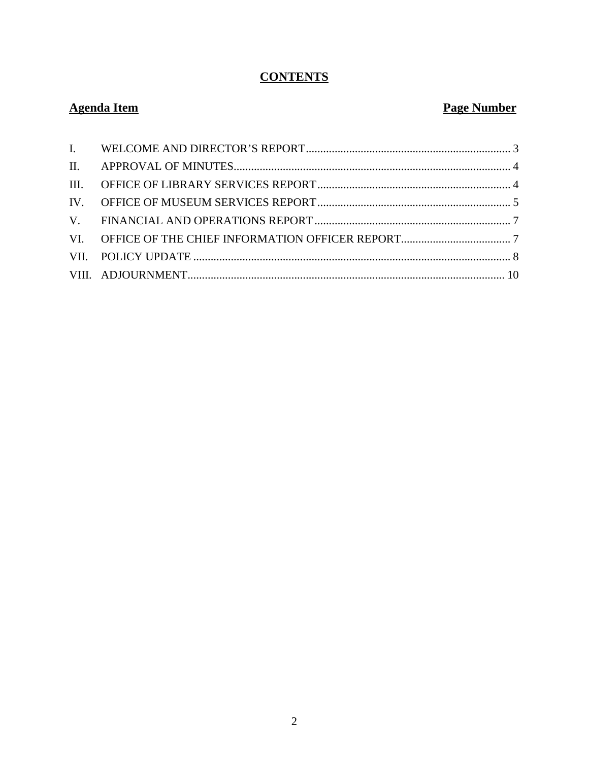# **CONTENTS**

# **Agenda Item**

# **Page Number**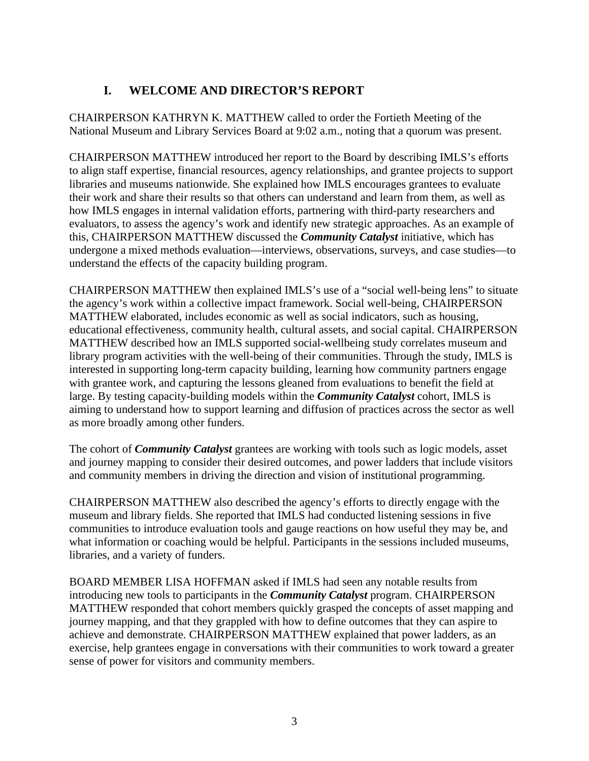# **I. WELCOME AND DIRECTOR'S REPORT**

<span id="page-23-0"></span>CHAIRPERSON KATHRYN K. MATTHEW called to order the Fortieth Meeting of the National Museum and Library Services Board at 9:02 a.m., noting that a quorum was present.

CHAIRPERSON MATTHEW introduced her report to the Board by describing IMLS's efforts to align staff expertise, financial resources, agency relationships, and grantee projects to support libraries and museums nationwide. She explained how IMLS encourages grantees to evaluate their work and share their results so that others can understand and learn from them, as well as how IMLS engages in internal validation efforts, partnering with third-party researchers and evaluators, to assess the agency's work and identify new strategic approaches. As an example of this, CHAIRPERSON MATTHEW discussed the *Community Catalyst* initiative, which has undergone a mixed methods evaluation—interviews, observations, surveys, and case studies—to understand the effects of the capacity building program.

CHAIRPERSON MATTHEW then explained IMLS's use of a "social well-being lens" to situate the agency's work within a collective impact framework. Social well-being, CHAIRPERSON MATTHEW elaborated, includes economic as well as social indicators, such as housing, educational effectiveness, community health, cultural assets, and social capital. CHAIRPERSON MATTHEW described how an IMLS supported social-wellbeing study correlates museum and library program activities with the well-being of their communities. Through the study, IMLS is interested in supporting long-term capacity building, learning how community partners engage with grantee work, and capturing the lessons gleaned from evaluations to benefit the field at large. By testing capacity-building models within the *Community Catalyst* cohort, IMLS is aiming to understand how to support learning and diffusion of practices across the sector as well as more broadly among other funders.

The cohort of *Community Catalyst* grantees are working with tools such as logic models, asset and journey mapping to consider their desired outcomes, and power ladders that include visitors and community members in driving the direction and vision of institutional programming.

CHAIRPERSON MATTHEW also described the agency's efforts to directly engage with the museum and library fields. She reported that IMLS had conducted listening sessions in five communities to introduce evaluation tools and gauge reactions on how useful they may be, and what information or coaching would be helpful. Participants in the sessions included museums, libraries, and a variety of funders.

BOARD MEMBER LISA HOFFMAN asked if IMLS had seen any notable results from introducing new tools to participants in the *Community Catalyst* program. CHAIRPERSON MATTHEW responded that cohort members quickly grasped the concepts of asset mapping and journey mapping, and that they grappled with how to define outcomes that they can aspire to achieve and demonstrate. CHAIRPERSON MATTHEW explained that power ladders, as an exercise, help grantees engage in conversations with their communities to work toward a greater sense of power for visitors and community members.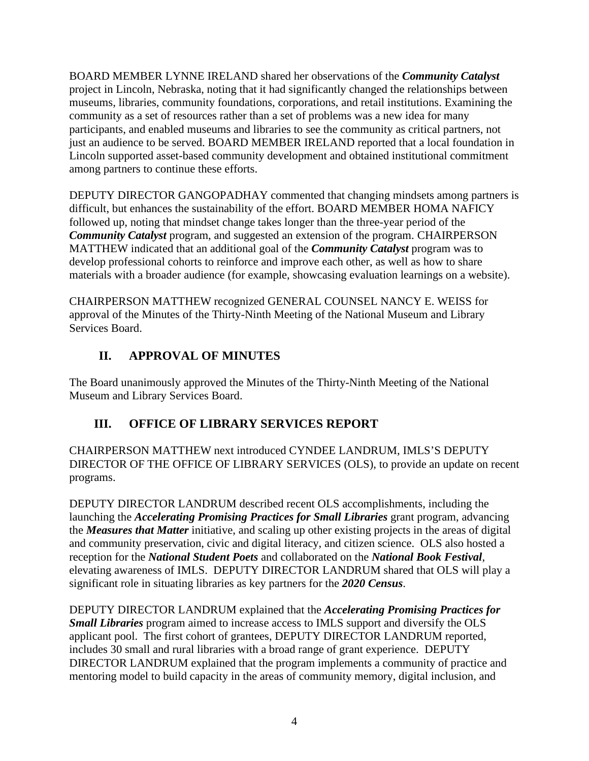BOARD MEMBER LYNNE IRELAND shared her observations of the *Community Catalyst* project in Lincoln, Nebraska, noting that it had significantly changed the relationships between museums, libraries, community foundations, corporations, and retail institutions. Examining the community as a set of resources rather than a set of problems was a new idea for many participants, and enabled museums and libraries to see the community as critical partners, not just an audience to be served. BOARD MEMBER IRELAND reported that a local foundation in Lincoln supported asset-based community development and obtained institutional commitment among partners to continue these efforts.

DEPUTY DIRECTOR GANGOPADHAY commented that changing mindsets among partners is difficult, but enhances the sustainability of the effort. BOARD MEMBER HOMA NAFICY followed up, noting that mindset change takes longer than the three-year period of the *Community Catalyst* program, and suggested an extension of the program. CHAIRPERSON MATTHEW indicated that an additional goal of the *Community Catalyst* program was to develop professional cohorts to reinforce and improve each other, as well as how to share materials with a broader audience (for example, showcasing evaluation learnings on a website).

CHAIRPERSON MATTHEW recognized GENERAL COUNSEL NANCY E. WEISS for approval of the Minutes of the Thirty-Ninth Meeting of the National Museum and Library Services Board.

#### **II. APPROVAL OF MINUTES**

<span id="page-24-0"></span>The Board unanimously approved the Minutes of the Thirty-Ninth Meeting of the National Museum and Library Services Board.

# <span id="page-24-1"></span>**III. OFFICE OF LIBRARY SERVICES REPORT**

CHAIRPERSON MATTHEW next introduced CYNDEE LANDRUM, IMLS'S DEPUTY DIRECTOR OF THE OFFICE OF LIBRARY SERVICES (OLS), to provide an update on recent programs.

DEPUTY DIRECTOR LANDRUM described recent OLS accomplishments, including the launching the *Accelerating Promising Practices for Small Libraries* grant program, advancing the *Measures that Matter* initiative, and scaling up other existing projects in the areas of digital and community preservation, civic and digital literacy, and citizen science. OLS also hosted a reception for the *National Student Poets* and collaborated on the *National Book Festival*, elevating awareness of IMLS. DEPUTY DIRECTOR LANDRUM shared that OLS will play a significant role in situating libraries as key partners for the *2020 Census*.

DEPUTY DIRECTOR LANDRUM explained that the *Accelerating Promising Practices for Small Libraries* program aimed to increase access to IMLS support and diversify the OLS applicant pool. The first cohort of grantees, DEPUTY DIRECTOR LANDRUM reported, includes 30 small and rural libraries with a broad range of grant experience. DEPUTY DIRECTOR LANDRUM explained that the program implements a community of practice and mentoring model to build capacity in the areas of community memory, digital inclusion, and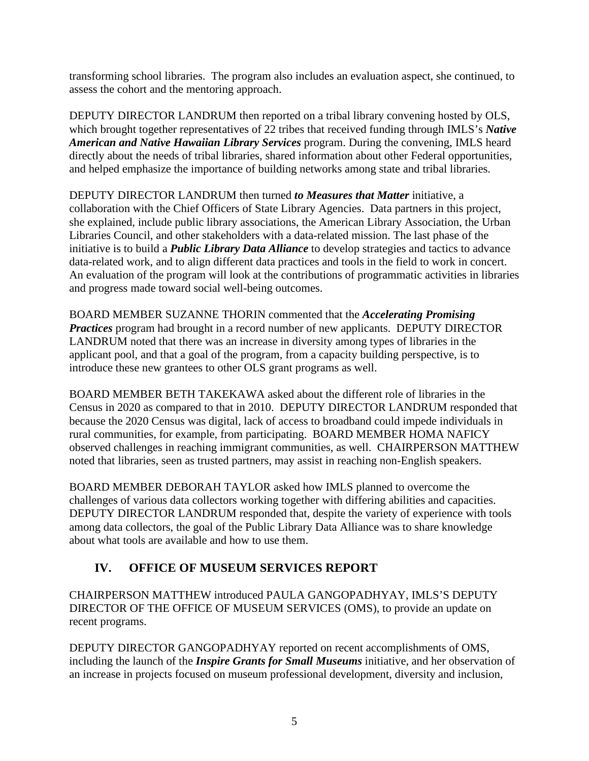transforming school libraries. The program also includes an evaluation aspect, she continued, to assess the cohort and the mentoring approach.

DEPUTY DIRECTOR LANDRUM then reported on a tribal library convening hosted by OLS, which brought together representatives of 22 tribes that received funding through IMLS's *Native American and Native Hawaiian Library Services* program. During the convening, IMLS heard directly about the needs of tribal libraries, shared information about other Federal opportunities, and helped emphasize the importance of building networks among state and tribal libraries.

DEPUTY DIRECTOR LANDRUM then turned *to Measures that Matter* initiative, a collaboration with the Chief Officers of State Library Agencies. Data partners in this project, she explained, include public library associations, the American Library Association, the Urban Libraries Council, and other stakeholders with a data-related mission. The last phase of the initiative is to build a *Public Library Data Alliance* to develop strategies and tactics to advance data-related work, and to align different data practices and tools in the field to work in concert. An evaluation of the program will look at the contributions of programmatic activities in libraries and progress made toward social well-being outcomes.

BOARD MEMBER SUZANNE THORIN commented that the *Accelerating Promising Practices* program had brought in a record number of new applicants. DEPUTY DIRECTOR LANDRUM noted that there was an increase in diversity among types of libraries in the applicant pool, and that a goal of the program, from a capacity building perspective, is to introduce these new grantees to other OLS grant programs as well.

BOARD MEMBER BETH TAKEKAWA asked about the different role of libraries in the Census in 2020 as compared to that in 2010. DEPUTY DIRECTOR LANDRUM responded that because the 2020 Census was digital, lack of access to broadband could impede individuals in rural communities, for example, from participating. BOARD MEMBER HOMA NAFICY observed challenges in reaching immigrant communities, as well. CHAIRPERSON MATTHEW noted that libraries, seen as trusted partners, may assist in reaching non-English speakers.

BOARD MEMBER DEBORAH TAYLOR asked how IMLS planned to overcome the challenges of various data collectors working together with differing abilities and capacities. DEPUTY DIRECTOR LANDRUM responded that, despite the variety of experience with tools among data collectors, the goal of the Public Library Data Alliance was to share knowledge about what tools are available and how to use them.

#### <span id="page-25-0"></span>**IV. OFFICE OF MUSEUM SERVICES REPORT**

CHAIRPERSON MATTHEW introduced PAULA GANGOPADHYAY, IMLS'S DEPUTY DIRECTOR OF THE OFFICE OF MUSEUM SERVICES (OMS), to provide an update on recent programs.

DEPUTY DIRECTOR GANGOPADHYAY reported on recent accomplishments of OMS, including the launch of the *Inspire Grants for Small Museums* initiative, and her observation of an increase in projects focused on museum professional development, diversity and inclusion,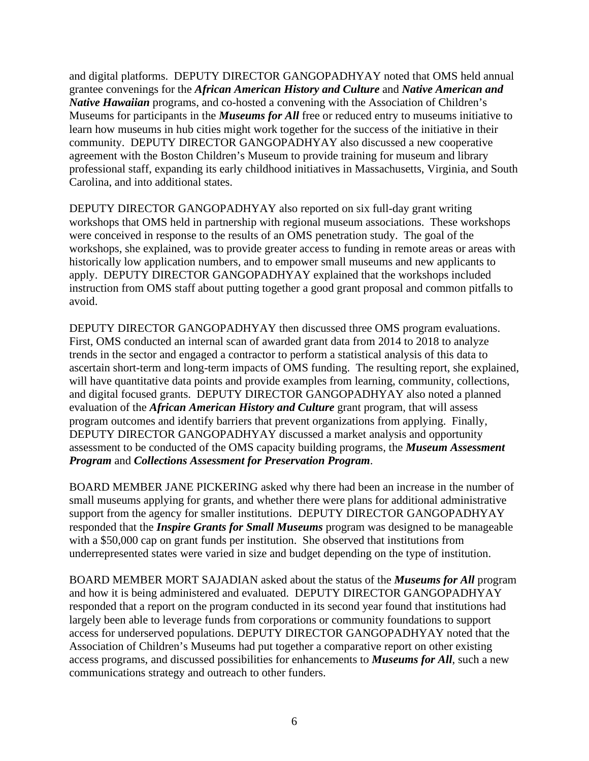and digital platforms. DEPUTY DIRECTOR GANGOPADHYAY noted that OMS held annual grantee convenings for the *African American History and Culture* and *Native American and Native Hawaiian* programs, and co-hosted a convening with the Association of Children's Museums for participants in the *Museums for All* free or reduced entry to museums initiative to learn how museums in hub cities might work together for the success of the initiative in their community. DEPUTY DIRECTOR GANGOPADHYAY also discussed a new cooperative agreement with the Boston Children's Museum to provide training for museum and library professional staff, expanding its early childhood initiatives in Massachusetts, Virginia, and South Carolina, and into additional states.

DEPUTY DIRECTOR GANGOPADHYAY also reported on six full-day grant writing workshops that OMS held in partnership with regional museum associations. These workshops were conceived in response to the results of an OMS penetration study. The goal of the workshops, she explained, was to provide greater access to funding in remote areas or areas with historically low application numbers, and to empower small museums and new applicants to apply. DEPUTY DIRECTOR GANGOPADHYAY explained that the workshops included instruction from OMS staff about putting together a good grant proposal and common pitfalls to avoid.

DEPUTY DIRECTOR GANGOPADHYAY then discussed three OMS program evaluations. First, OMS conducted an internal scan of awarded grant data from 2014 to 2018 to analyze trends in the sector and engaged a contractor to perform a statistical analysis of this data to ascertain short-term and long-term impacts of OMS funding. The resulting report, she explained, will have quantitative data points and provide examples from learning, community, collections, and digital focused grants. DEPUTY DIRECTOR GANGOPADHYAY also noted a planned evaluation of the *African American History and Culture* grant program, that will assess program outcomes and identify barriers that prevent organizations from applying. Finally, DEPUTY DIRECTOR GANGOPADHYAY discussed a market analysis and opportunity assessment to be conducted of the OMS capacity building programs, the *Museum Assessment Program* and *Collections Assessment for Preservation Program*.

BOARD MEMBER JANE PICKERING asked why there had been an increase in the number of small museums applying for grants, and whether there were plans for additional administrative support from the agency for smaller institutions. DEPUTY DIRECTOR GANGOPADHYAY responded that the *Inspire Grants for Small Museums* program was designed to be manageable with a \$50,000 cap on grant funds per institution. She observed that institutions from underrepresented states were varied in size and budget depending on the type of institution.

BOARD MEMBER MORT SAJADIAN asked about the status of the *Museums for All* program and how it is being administered and evaluated. DEPUTY DIRECTOR GANGOPADHYAY responded that a report on the program conducted in its second year found that institutions had largely been able to leverage funds from corporations or community foundations to support access for underserved populations. DEPUTY DIRECTOR GANGOPADHYAY noted that the Association of Children's Museums had put together a comparative report on other existing access programs, and discussed possibilities for enhancements to *Museums for All*, such a new communications strategy and outreach to other funders.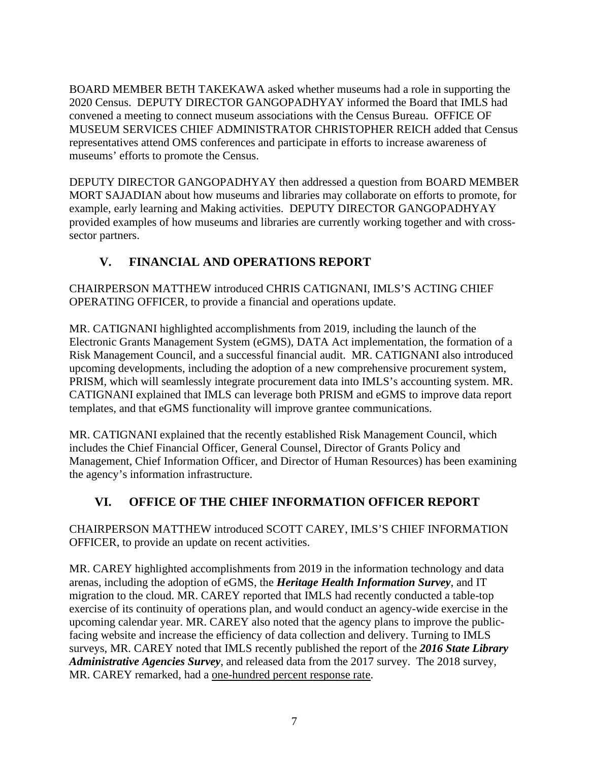BOARD MEMBER BETH TAKEKAWA asked whether museums had a role in supporting the 2020 Census. DEPUTY DIRECTOR GANGOPADHYAY informed the Board that IMLS had convened a meeting to connect museum associations with the Census Bureau. OFFICE OF MUSEUM SERVICES CHIEF ADMINISTRATOR CHRISTOPHER REICH added that Census representatives attend OMS conferences and participate in efforts to increase awareness of museums' efforts to promote the Census.

DEPUTY DIRECTOR GANGOPADHYAY then addressed a question from BOARD MEMBER MORT SAJADIAN about how museums and libraries may collaborate on efforts to promote, for example, early learning and Making activities. DEPUTY DIRECTOR GANGOPADHYAY provided examples of how museums and libraries are currently working together and with crosssector partners.

#### **V. FINANCIAL AND OPERATIONS REPORT**

<span id="page-27-0"></span>CHAIRPERSON MATTHEW introduced CHRIS CATIGNANI, IMLS'S ACTING CHIEF OPERATING OFFICER, to provide a financial and operations update.

MR. CATIGNANI highlighted accomplishments from 2019, including the launch of the Electronic Grants Management System (eGMS), DATA Act implementation, the formation of a Risk Management Council, and a successful financial audit. MR. CATIGNANI also introduced upcoming developments, including the adoption of a new comprehensive procurement system, PRISM, which will seamlessly integrate procurement data into IMLS's accounting system. MR. CATIGNANI explained that IMLS can leverage both PRISM and eGMS to improve data report templates, and that eGMS functionality will improve grantee communications.

MR. CATIGNANI explained that the recently established Risk Management Council, which includes the Chief Financial Officer, General Counsel, Director of Grants Policy and Management, Chief Information Officer, and Director of Human Resources) has been examining the agency's information infrastructure.

#### <span id="page-27-1"></span>**VI. OFFICE OF THE CHIEF INFORMATION OFFICER REPORT**

CHAIRPERSON MATTHEW introduced SCOTT CAREY, IMLS'S CHIEF INFORMATION OFFICER, to provide an update on recent activities.

MR. CAREY highlighted accomplishments from 2019 in the information technology and data arenas, including the adoption of eGMS, the *Heritage Health Information Survey*, and IT migration to the cloud. MR. CAREY reported that IMLS had recently conducted a table-top exercise of its continuity of operations plan, and would conduct an agency-wide exercise in the upcoming calendar year. MR. CAREY also noted that the agency plans to improve the publicfacing website and increase the efficiency of data collection and delivery. Turning to IMLS surveys, MR. CAREY noted that IMLS recently published the report of the *2016 State Library Administrative Agencies Survey*, and released data from the 2017 survey. The 2018 survey, MR. CAREY remarked, had a one-hundred percent response rate.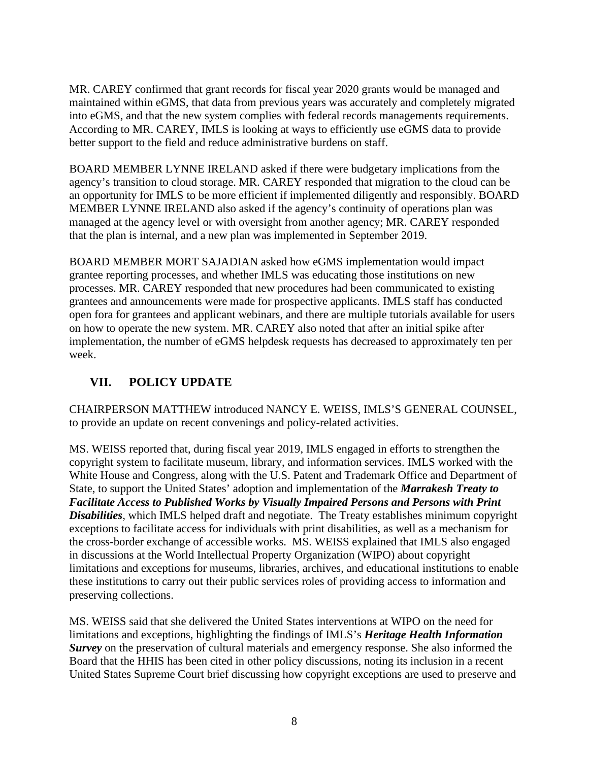MR. CAREY confirmed that grant records for fiscal year 2020 grants would be managed and maintained within eGMS, that data from previous years was accurately and completely migrated into eGMS, and that the new system complies with federal records managements requirements. According to MR. CAREY, IMLS is looking at ways to efficiently use eGMS data to provide better support to the field and reduce administrative burdens on staff.

BOARD MEMBER LYNNE IRELAND asked if there were budgetary implications from the agency's transition to cloud storage. MR. CAREY responded that migration to the cloud can be an opportunity for IMLS to be more efficient if implemented diligently and responsibly. BOARD MEMBER LYNNE IRELAND also asked if the agency's continuity of operations plan was managed at the agency level or with oversight from another agency; MR. CAREY responded that the plan is internal, and a new plan was implemented in September 2019.

BOARD MEMBER MORT SAJADIAN asked how eGMS implementation would impact grantee reporting processes, and whether IMLS was educating those institutions on new processes. MR. CAREY responded that new procedures had been communicated to existing grantees and announcements were made for prospective applicants. IMLS staff has conducted open fora for grantees and applicant webinars, and there are multiple tutorials available for users on how to operate the new system. MR. CAREY also noted that after an initial spike after implementation, the number of eGMS helpdesk requests has decreased to approximately ten per week.

#### <span id="page-28-0"></span>**VII. POLICY UPDATE**

CHAIRPERSON MATTHEW introduced NANCY E. WEISS, IMLS'S GENERAL COUNSEL, to provide an update on recent convenings and policy-related activities.

MS. WEISS reported that, during fiscal year 2019, IMLS engaged in efforts to strengthen the copyright system to facilitate museum, library, and information services. IMLS worked with the White House and Congress, along with the U.S. Patent and Trademark Office and Department of State, to support the United States' adoption and implementation of the *Marrakesh Treaty to Facilitate Access to Published Works by Visually Impaired Persons and Persons with Print Disabilities*, which IMLS helped draft and negotiate. The Treaty establishes minimum copyright exceptions to facilitate access for individuals with print disabilities, as well as a mechanism for the cross-border exchange of accessible works. MS. WEISS explained that IMLS also engaged in discussions at the World Intellectual Property Organization (WIPO) about copyright limitations and exceptions for museums, libraries, archives, and educational institutions to enable these institutions to carry out their public services roles of providing access to information and preserving collections.

MS. WEISS said that she delivered the United States interventions at WIPO on the need for limitations and exceptions, highlighting the findings of IMLS's *Heritage Health Information Survey* on the preservation of cultural materials and emergency response. She also informed the Board that the HHIS has been cited in other policy discussions, noting its inclusion in a recent United States Supreme Court brief discussing how copyright exceptions are used to preserve and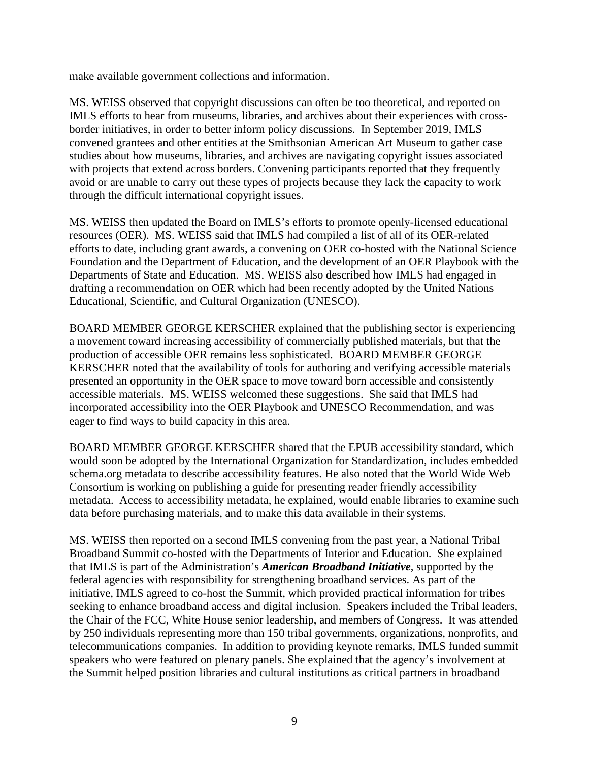make available government collections and information.

MS. WEISS observed that copyright discussions can often be too theoretical, and reported on IMLS efforts to hear from museums, libraries, and archives about their experiences with crossborder initiatives, in order to better inform policy discussions. In September 2019, IMLS convened grantees and other entities at the Smithsonian American Art Museum to gather case studies about how museums, libraries, and archives are navigating copyright issues associated with projects that extend across borders. Convening participants reported that they frequently avoid or are unable to carry out these types of projects because they lack the capacity to work through the difficult international copyright issues.

MS. WEISS then updated the Board on IMLS's efforts to promote openly-licensed educational resources (OER). MS. WEISS said that IMLS had compiled a list of all of its OER-related efforts to date, including grant awards, a convening on OER co-hosted with the National Science Foundation and the Department of Education, and the development of an OER Playbook with the Departments of State and Education. MS. WEISS also described how IMLS had engaged in drafting a recommendation on OER which had been recently adopted by the United Nations Educational, Scientific, and Cultural Organization (UNESCO).

BOARD MEMBER GEORGE KERSCHER explained that the publishing sector is experiencing a movement toward increasing accessibility of commercially published materials, but that the production of accessible OER remains less sophisticated. BOARD MEMBER GEORGE KERSCHER noted that the availability of tools for authoring and verifying accessible materials presented an opportunity in the OER space to move toward born accessible and consistently accessible materials. MS. WEISS welcomed these suggestions. She said that IMLS had incorporated accessibility into the OER Playbook and UNESCO Recommendation, and was eager to find ways to build capacity in this area.

BOARD MEMBER GEORGE KERSCHER shared that the EPUB accessibility standard, which would soon be adopted by the International Organization for Standardization, includes embedded schema.org metadata to describe accessibility features. He also noted that the World Wide Web Consortium is working on publishing a guide for presenting reader friendly accessibility metadata. Access to accessibility metadata, he explained, would enable libraries to examine such data before purchasing materials, and to make this data available in their systems.

MS. WEISS then reported on a second IMLS convening from the past year, a National Tribal Broadband Summit co-hosted with the Departments of Interior and Education. She explained that IMLS is part of the Administration's *American Broadband Initiative*, supported by the federal agencies with responsibility for strengthening broadband services. As part of the initiative, IMLS agreed to co-host the Summit, which provided practical information for tribes seeking to enhance broadband access and digital inclusion. Speakers included the Tribal leaders, the Chair of the FCC, White House senior leadership, and members of Congress. It was attended by 250 individuals representing more than 150 tribal governments, organizations, nonprofits, and telecommunications companies. In addition to providing keynote remarks, IMLS funded summit speakers who were featured on plenary panels. She explained that the agency's involvement at the Summit helped position libraries and cultural institutions as critical partners in broadband